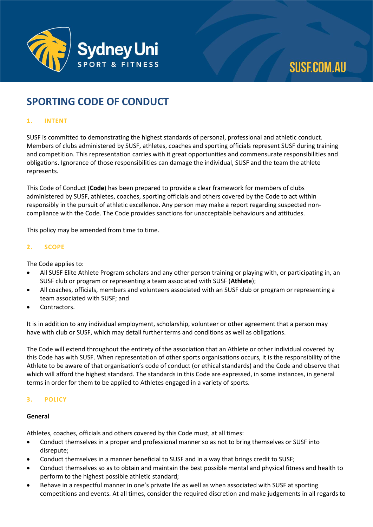

# **SPORTING CODE OF CONDUCT**

## **1. INTENT**

SUSF is committed to demonstrating the highest standards of personal, professional and athletic conduct. Members of clubs administered by SUSF, athletes, coaches and sporting officials represent SUSF during training and competition. This representation carries with it great opportunities and commensurate responsibilities and obligations. Ignorance of those responsibilities can damage the individual, SUSF and the team the athlete represents.

This Code of Conduct (**Code**) has been prepared to provide a clear framework for members of clubs administered by SUSF, athletes, coaches, sporting officials and others covered by the Code to act within responsibly in the pursuit of athletic excellence. Any person may make a report regarding suspected noncompliance with the Code. The Code provides sanctions for unacceptable behaviours and attitudes.

This policy may be amended from time to time.

### **2. SCOPE**

The Code applies to:

- All SUSF Elite Athlete Program scholars and any other person training or playing with, or participating in, an SUSF club or program or representing a team associated with SUSF (**Athlete**);
- All coaches, officials, members and volunteers associated with an SUSF club or program or representing a team associated with SUSF; and
- Contractors.

It is in addition to any individual employment, scholarship, volunteer or other agreement that a person may have with club or SUSF, which may detail further terms and conditions as well as obligations.

The Code will extend throughout the entirety of the association that an Athlete or other individual covered by this Code has with SUSF. When representation of other sports organisations occurs, it is the responsibility of the Athlete to be aware of that organisation's code of conduct (or ethical standards) and the Code and observe that which will afford the highest standard. The standards in this Code are expressed, in some instances, in general terms in order for them to be applied to Athletes engaged in a variety of sports.

# **3. POLICY**

#### **General**

Athletes, coaches, officials and others covered by this Code must, at all times:

- Conduct themselves in a proper and professional manner so as not to bring themselves or SUSF into disrepute;
- Conduct themselves in a manner beneficial to SUSF and in a way that brings credit to SUSF;
- Conduct themselves so as to obtain and maintain the best possible mental and physical fitness and health to perform to the highest possible athletic standard;
- Behave in a respectful manner in one's private life as well as when associated with SUSF at sporting competitions and events. At all times, consider the required discretion and make judgements in all regards to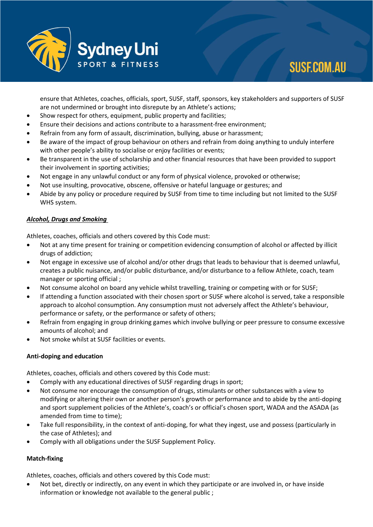

# **SUSF.COM.AU**

ensure that Athletes, coaches, officials, sport, SUSF, staff, sponsors, key stakeholders and supporters of SUSF are not undermined or brought into disrepute by an Athlete's actions;

- Show respect for others, equipment, public property and facilities;
- Ensure their decisions and actions contribute to a harassment-free environment;
- Refrain from any form of assault, discrimination, bullying, abuse or harassment;
- Be aware of the impact of group behaviour on others and refrain from doing anything to unduly interfere with other people's ability to socialise or enjoy facilities or events;
- Be transparent in the use of scholarship and other financial resources that have been provided to support their involvement in sporting activities;
- Not engage in any unlawful conduct or any form of physical violence, provoked or otherwise;
- Not use insulting, provocative, obscene, offensive or hateful language or gestures; and
- Abide by any policy or procedure required by SUSF from time to time including but not limited to the SUSF WHS system.

# *Alcohol, Drugs and Smoking*

Athletes, coaches, officials and others covered by this Code must:

- Not at any time present for training or competition evidencing consumption of alcohol or affected by illicit drugs of addiction;
- Not engage in excessive use of alcohol and/or other drugs that leads to behaviour that is deemed unlawful, creates a public nuisance, and/or public disturbance, and/or disturbance to a fellow Athlete, coach, team manager or sporting official ;
- Not consume alcohol on board any vehicle whilst travelling, training or competing with or for SUSF;
- If attending a function associated with their chosen sport or SUSF where alcohol is served, take a responsible approach to alcohol consumption. Any consumption must not adversely affect the Athlete's behaviour, performance or safety, or the performance or safety of others;
- Refrain from engaging in group drinking games which involve bullying or peer pressure to consume excessive amounts of alcohol; and
- Not smoke whilst at SUSF facilities or events.

# **Anti-doping and education**

Athletes, coaches, officials and others covered by this Code must:

- Comply with any educational directives of SUSF regarding drugs in sport;
- Not consume nor encourage the consumption of drugs, stimulants or other substances with a view to modifying or altering their own or another person's growth or performance and to abide by the anti-doping and sport supplement policies of the Athlete's, coach's or official's chosen sport, WADA and the ASADA (as amended from time to time);
- Take full responsibility, in the context of anti-doping, for what they ingest, use and possess (particularly in the case of Athletes); and
- Comply with all obligations under the SUSF Supplement Policy.

# **Match-fixing**

Athletes, coaches, officials and others covered by this Code must:

• Not bet, directly or indirectly, on any event in which they participate or are involved in, or have inside information or knowledge not available to the general public ;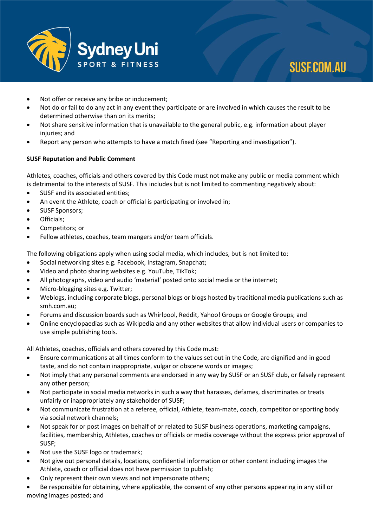

- Not offer or receive any bribe or inducement;
- Not do or fail to do any act in any event they participate or are involved in which causes the result to be determined otherwise than on its merits;
- Not share sensitive information that is unavailable to the general public, e.g. information about player injuries; and
- Report any person who attempts to have a match fixed (see "Reporting and investigation").

#### **SUSF Reputation and Public Comment**

Athletes, coaches, officials and others covered by this Code must not make any public or media comment which is detrimental to the interests of SUSF. This includes but is not limited to commenting negatively about:

- SUSF and its associated entities;
- An event the Athlete, coach or official is participating or involved in;
- SUSF Sponsors;
- Officials;
- Competitors; or
- Fellow athletes, coaches, team mangers and/or team officials.

The following obligations apply when using social media, which includes, but is not limited to:

- Social networking sites e.g. Facebook, Instagram, Snapchat;
- Video and photo sharing websites e.g. YouTube, TikTok;
- All photographs, video and audio 'material' posted onto social media or the internet;
- Micro-blogging sites e.g. Twitter;
- Weblogs, including corporate blogs, personal blogs or blogs hosted by traditional media publications such as smh.com.au;
- Forums and discussion boards such as Whirlpool, Reddit, Yahoo! Groups or Google Groups; and
- Online encyclopaedias such as Wikipedia and any other websites that allow individual users or companies to use simple publishing tools.

All Athletes, coaches, officials and others covered by this Code must:

- Ensure communications at all times conform to the values set out in the Code, are dignified and in good taste, and do not contain inappropriate, vulgar or obscene words or images;
- Not imply that any personal comments are endorsed in any way by SUSF or an SUSF club, or falsely represent any other person;
- Not participate in social media networks in such a way that harasses, defames, discriminates or treats unfairly or inappropriately any stakeholder of SUSF;
- Not communicate frustration at a referee, official, Athlete, team-mate, coach, competitor or sporting body via social network channels;
- Not speak for or post images on behalf of or related to SUSF business operations, marketing campaigns, facilities, membership, Athletes, coaches or officials or media coverage without the express prior approval of SUSF;
- Not use the SUSF logo or trademark;
- Not give out personal details, locations, confidential information or other content including images the Athlete, coach or official does not have permission to publish;
- Only represent their own views and not impersonate others;
- Be responsible for obtaining, where applicable, the consent of any other persons appearing in any still or moving images posted; and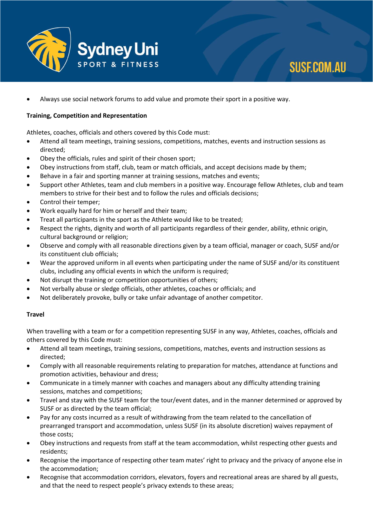

# **SUSF.COM.AU**

• Always use social network forums to add value and promote their sport in a positive way.

### **Training, Competition and Representation**

Athletes, coaches, officials and others covered by this Code must:

- Attend all team meetings, training sessions, competitions, matches, events and instruction sessions as directed;
- Obey the officials, rules and spirit of their chosen sport;
- Obey instructions from staff, club, team or match officials, and accept decisions made by them;
- Behave in a fair and sporting manner at training sessions, matches and events;
- Support other Athletes, team and club members in a positive way. Encourage fellow Athletes, club and team members to strive for their best and to follow the rules and officials decisions;
- Control their temper;
- Work equally hard for him or herself and their team;
- Treat all participants in the sport as the Athlete would like to be treated;
- Respect the rights, dignity and worth of all participants regardless of their gender, ability, ethnic origin, cultural background or religion;
- Observe and comply with all reasonable directions given by a team official, manager or coach, SUSF and/or its constituent club officials;
- Wear the approved uniform in all events when participating under the name of SUSF and/or its constituent clubs, including any official events in which the uniform is required;
- Not disrupt the training or competition opportunities of others;
- Not verbally abuse or sledge officials, other athletes, coaches or officials; and
- Not deliberately provoke, bully or take unfair advantage of another competitor.

#### **Travel**

When travelling with a team or for a competition representing SUSF in any way, Athletes, coaches, officials and others covered by this Code must:

- Attend all team meetings, training sessions, competitions, matches, events and instruction sessions as directed;
- Comply with all reasonable requirements relating to preparation for matches, attendance at functions and promotion activities, behaviour and dress;
- Communicate in a timely manner with coaches and managers about any difficulty attending training sessions, matches and competitions;
- Travel and stay with the SUSF team for the tour/event dates, and in the manner determined or approved by SUSF or as directed by the team official;
- Pay for any costs incurred as a result of withdrawing from the team related to the cancellation of prearranged transport and accommodation, unless SUSF (in its absolute discretion) waives repayment of those costs;
- Obey instructions and requests from staff at the team accommodation, whilst respecting other guests and residents;
- Recognise the importance of respecting other team mates' right to privacy and the privacy of anyone else in the accommodation;
- Recognise that accommodation corridors, elevators, foyers and recreational areas are shared by all guests, and that the need to respect people's privacy extends to these areas;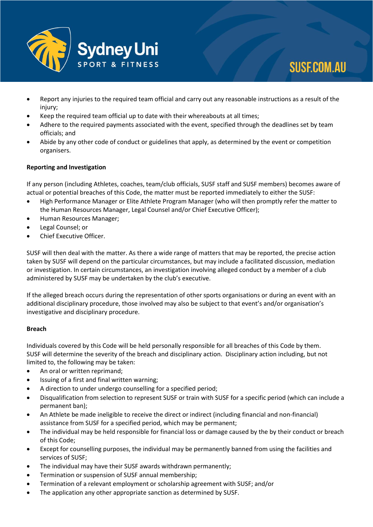

# **SUSF.COM.AU**

- Report any injuries to the required team official and carry out any reasonable instructions as a result of the injury;
- Keep the required team official up to date with their whereabouts at all times;
- Adhere to the required payments associated with the event, specified through the deadlines set by team officials; and
- Abide by any other code of conduct or guidelines that apply, as determined by the event or competition organisers.

# **Reporting and Investigation**

If any person (including Athletes, coaches, team/club officials, SUSF staff and SUSF members) becomes aware of actual or potential breaches of this Code, the matter must be reported immediately to either the SUSF:

- High Performance Manager or Elite Athlete Program Manager (who will then promptly refer the matter to the Human Resources Manager, Legal Counsel and/or Chief Executive Officer);
- Human Resources Manager;
- Legal Counsel; or
- Chief Executive Officer.

SUSF will then deal with the matter. As there a wide range of matters that may be reported, the precise action taken by SUSF will depend on the particular circumstances, but may include a facilitated discussion, mediation or investigation. In certain circumstances, an investigation involving alleged conduct by a member of a club administered by SUSF may be undertaken by the club's executive.

If the alleged breach occurs during the representation of other sports organisations or during an event with an additional disciplinary procedure, those involved may also be subject to that event's and/or organisation's investigative and disciplinary procedure.

#### **Breach**

Individuals covered by this Code will be held personally responsible for all breaches of this Code by them. SUSF will determine the severity of the breach and disciplinary action. Disciplinary action including, but not limited to, the following may be taken:

- An oral or written reprimand;
- Issuing of a first and final written warning;
- A direction to under undergo counselling for a specified period;
- Disqualification from selection to represent SUSF or train with SUSF for a specific period (which can include a permanent ban);
- An Athlete be made ineligible to receive the direct or indirect (including financial and non-financial) assistance from SUSF for a specified period, which may be permanent;
- The individual may be held responsible for financial loss or damage caused by the by their conduct or breach of this Code;
- Except for counselling purposes, the individual may be permanently banned from using the facilities and services of SUSF;
- The individual may have their SUSF awards withdrawn permanently;
- Termination or suspension of SUSF annual membership;
- Termination of a relevant employment or scholarship agreement with SUSF; and/or
- The application any other appropriate sanction as determined by SUSF.